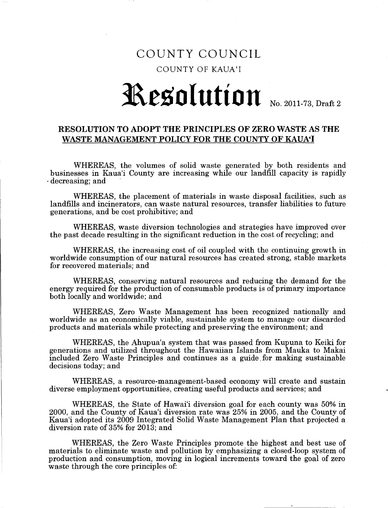## COUNTY COUNCIL COUNTY OF KAUA'I

## **Resolution** No. 2011-73, Draft 2

## RESOLUTION TO ADOPT THE PRINCIPLES OF ZERO WASTE AS THE WASTE MANAGEMENT POLICY FOR THE COUNTY OF KAUA'I

WHEREAS, the volumes of solid waste generated by both residents and businesses in Kaua'i County are increasing while our landfill capacity is rapidly . decreasing; and '

WHEREAS, the placement of materials in waste disposal facilities, such as landfills and incinerators, can waste natural resources, transfer liabilities to future generations, and be cost prohibitive; and

WHEREAS, waste diversion technologies and strategies have improved over the past decade resulting in the significant reduction in the cost of recycling; and

WHEREAS, the increasing cost of oil coupled with the continuing growth in worldwide consumption of our natural resources has created strong, stable markets for recovered materials; and

WHEREAS, conserving natural resources and reducing the demand for the energy required for the production of consumable products is of primary importance both locally and worldwide; and

WHEREAS, Zero Waste Management has been recognized nationally and worldwide as an economically viable, sustainable system to manage our discarded products and materials while protecting and preserving the environment; and

WHEREAS, the Ahupua'a system that was passed from Kupuna to Keiki for generations and utilized throughout the Hawaiian Islands from Mauka to Makai included Zero Waste Principles and continues as a guide, for making sustainable decisions today; and

WHEREAS, a resource-management-based economy will create and sustain diverse employment opportunities, creating useful products and services; and

WHEREAS, the State of Hawai'i diversion goal for each county was 50% in 2000, and the County of Kaua'i diversion rate was 25% in 2005, and the County of Kaua'i adopted its 2009 Integrated Solid Waste Management Plan that projected a diversion rate of 35% for 2013; and

WHEREAS, the Zero Waste Principles promote the highest and best use of materials to eliminate waste and pollution by emphasizing a closed-loop system of production and consumption, moving in logical increments toward the goal of zero waste through the core principles of: